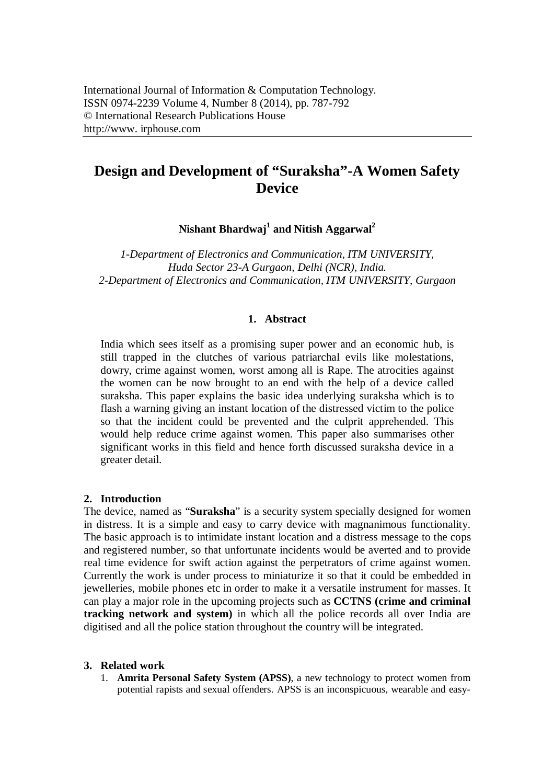# **Design and Development of "Suraksha"-A Women Safety Device**

**Nishant Bhardwaj<sup>1</sup> and Nitish Aggarwal<sup>2</sup>**

*1-Department of Electronics and Communication, ITM UNIVERSITY, Huda Sector 23-A Gurgaon, Delhi (NCR), India. 2-Department of Electronics and Communication, ITM UNIVERSITY, Gurgaon*

#### **1. Abstract**

India which sees itself as a promising super power and an economic hub, is still trapped in the clutches of various patriarchal evils like molestations, dowry, crime against women, worst among all is Rape. The atrocities against the women can be now brought to an end with the help of a device called suraksha. This paper explains the basic idea underlying suraksha which is to flash a warning giving an instant location of the distressed victim to the police so that the incident could be prevented and the culprit apprehended. This would help reduce crime against women. This paper also summarises other significant works in this field and hence forth discussed suraksha device in a greater detail.

### **2. Introduction**

The device, named as "**Suraksha**" is a security system specially designed for women in distress. It is a simple and easy to carry device with magnanimous functionality. The basic approach is to intimidate instant location and a distress message to the cops and registered number, so that unfortunate incidents would be averted and to provide real time evidence for swift action against the perpetrators of crime against women. Currently the work is under process to miniaturize it so that it could be embedded in jewelleries, mobile phones etc in order to make it a versatile instrument for masses. It can play a major role in the upcoming projects such as **CCTNS (crime and criminal tracking network and system)** in which all the police records all over India are digitised and all the police station throughout the country will be integrated.

#### **3. Related work**

1. **Amrita Personal Safety System (APSS)**, a new technology to protect women from potential rapists and sexual offenders. APSS is an inconspicuous, wearable and easy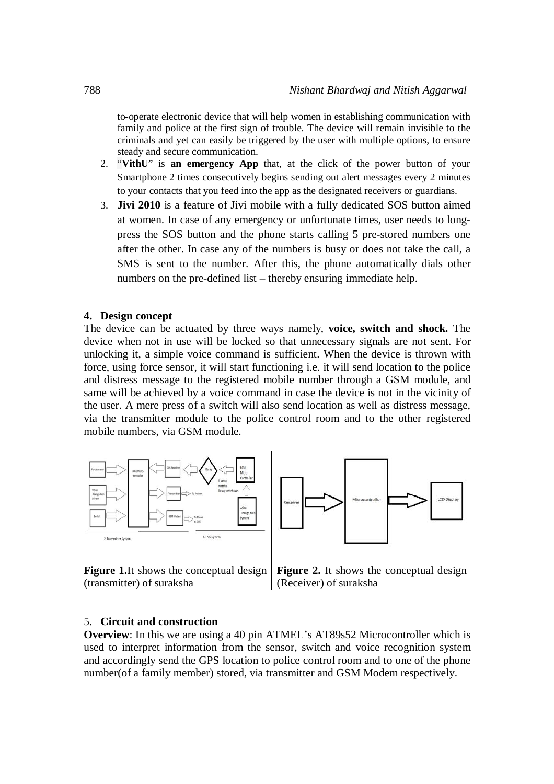to-operate electronic device that will help women in establishing communication with family and police at the first sign of trouble. The device will remain invisible to the criminals and yet can easily be triggered by the user with multiple options, to ensure steady and secure communication.

- 2. "**VithU**" is **an emergency App** that, at the click of the power button of your Smartphone 2 times consecutively begins sending out alert messages every 2 minutes to your contacts that you feed into the app as the designated receivers or guardians.
- 3. **Jivi 2010** is a feature of Jivi mobile with a fully dedicated SOS button aimed at women. In case of any emergency or unfortunate times, user needs to longpress the SOS button and the phone starts calling 5 pre-stored numbers one after the other. In case any of the numbers is busy or does not take the call, a SMS is sent to the number. After this, the phone automatically dials other numbers on the pre-defined list – thereby ensuring immediate help.

#### **4. Design concept**

The device can be actuated by three ways namely, **voice, switch and shock.** The device when not in use will be locked so that unnecessary signals are not sent. For unlocking it, a simple voice command is sufficient. When the device is thrown with force, using force sensor, it will start functioning i.e. it will send location to the police and distress message to the registered mobile number through a GSM module, and same will be achieved by a voice command in case the device is not in the vicinity of the user. A mere press of a switch will also send location as well as distress message, via the transmitter module to the police control room and to the other registered mobile numbers, via GSM module.





**Figure 1.**It shows the conceptual design (transmitter) of suraksha

**Figure 2.** It shows the conceptual design (Receiver) of suraksha

#### 5. **Circuit and construction**

**Overview**: In this we are using a 40 pin ATMEL's AT89s52 Microcontroller which is used to interpret information from the sensor, switch and voice recognition system and accordingly send the GPS location to police control room and to one of the phone number(of a family member) stored, via transmitter and GSM Modem respectively.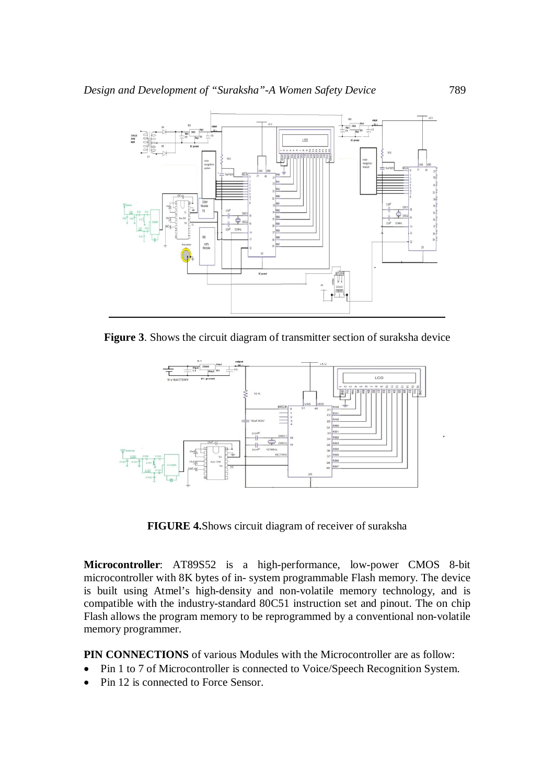

**Figure 3**. Shows the circuit diagram of transmitter section of suraksha device



**FIGURE 4.**Shows circuit diagram of receiver of suraksha

**Microcontroller**: AT89S52 is a high-performance, low-power CMOS 8-bit microcontroller with 8K bytes of in- system programmable Flash memory. The device is built using Atmel's high-density and non-volatile memory technology, and is compatible with the industry-standard 80C51 instruction set and pinout. The on chip Flash allows the program memory to be reprogrammed by a conventional non-volatile memory programmer.

**PIN CONNECTIONS** of various Modules with the Microcontroller are as follow:

- Pin 1 to 7 of Microcontroller is connected to Voice/Speech Recognition System.
- Pin 12 is connected to Force Sensor.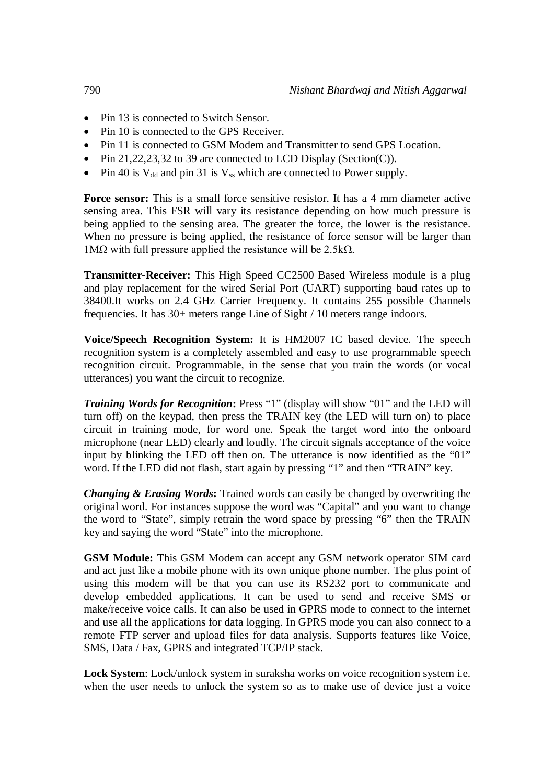- Pin 13 is connected to Switch Sensor.
- Pin 10 is connected to the GPS Receiver.
- Pin 11 is connected to GSM Modem and Transmitter to send GPS Location.
- Pin 21,22,23,32 to 39 are connected to LCD Display (Section(C)).
- Pin 40 is  $V_{dd}$  and pin 31 is  $V_{ss}$  which are connected to Power supply.

**Force sensor:** This is a small force sensitive resistor. It has a 4 mm diameter active sensing area. This FSR will vary its resistance depending on how much pressure is being applied to the sensing area. The greater the force, the lower is the resistance. When no pressure is being applied, the resistance of force sensor will be larger than 1MΩ with full pressure applied the resistance will be 2.5kΩ.

**Transmitter-Receiver:** This High Speed CC2500 Based Wireless module is a plug and play replacement for the wired Serial Port (UART) supporting baud rates up to 38400.It works on 2.4 GHz Carrier Frequency. It contains 255 possible Channels frequencies. It has 30+ meters range Line of Sight / 10 meters range indoors.

**Voice/Speech Recognition System:** It is HM2007 IC based device. The speech recognition system is a completely assembled and easy to use programmable speech recognition circuit. Programmable, in the sense that you train the words (or vocal utterances) you want the circuit to recognize.

**Training Words for Recognition:** Press "1" (display will show "01" and the LED will turn off) on the keypad, then press the TRAIN key (the LED will turn on) to place circuit in training mode, for word one. Speak the target word into the onboard microphone (near LED) clearly and loudly. The circuit signals acceptance of the voice input by blinking the LED off then on. The utterance is now identified as the "01" word. If the LED did not flash, start again by pressing "1" and then "TRAIN" key.

*Changing & Erasing Words***:** Trained words can easily be changed by overwriting the original word. For instances suppose the word was "Capital" and you want to change the word to "State", simply retrain the word space by pressing "6" then the TRAIN key and saying the word "State" into the microphone.

**GSM Module:** This GSM Modem can accept any GSM network operator SIM card and act just like a mobile phone with its own unique phone number. The plus point of using this modem will be that you can use its RS232 port to communicate and develop embedded applications. It can be used to send and receive SMS or make/receive voice calls. It can also be used in GPRS mode to connect to the internet and use all the applications for data logging. In GPRS mode you can also connect to a remote FTP server and upload files for data analysis. Supports features like Voice, SMS, Data / Fax, GPRS and integrated TCP/IP stack.

**Lock System**: Lock/unlock system in suraksha works on voice recognition system i.e. when the user needs to unlock the system so as to make use of device just a voice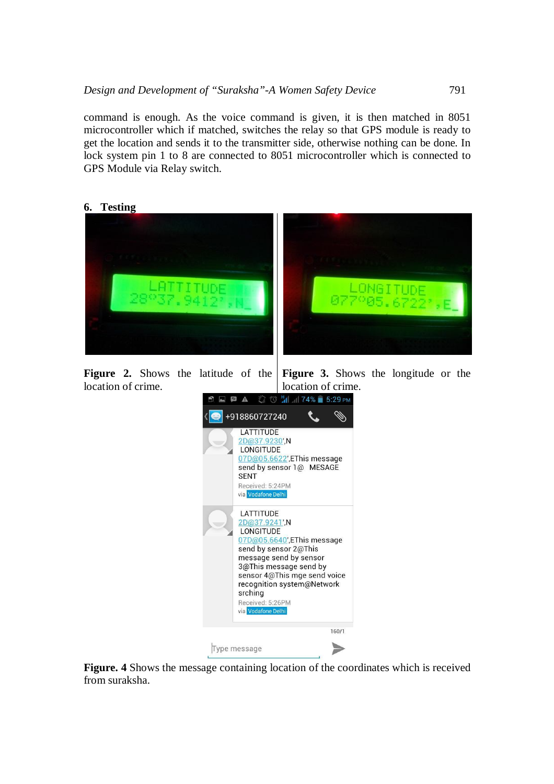command is enough. As the voice command is given, it is then matched in 8051 microcontroller which if matched, switches the relay so that GPS module is ready to get the location and sends it to the transmitter side, otherwise nothing can be done. In lock system pin 1 to 8 are connected to 8051 microcontroller which is connected to GPS Module via Relay switch.





**Figure 2.** Shows the latitude of the location of crime. **Figure 3.** Shows the longitude or the location of crime.



**Figure. 4** Shows the message containing location of the coordinates which is received from suraksha.